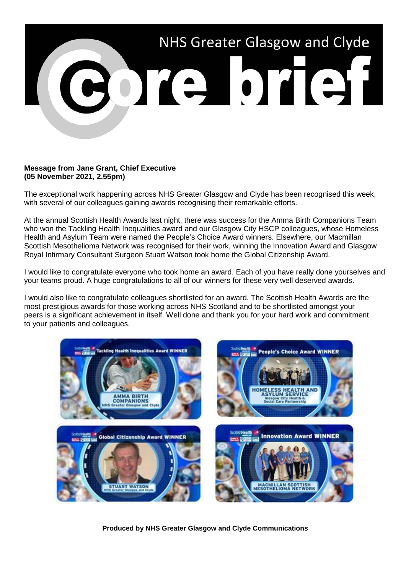

## **Message from Jane Grant, Chief Executive (05 November 2021, 2.55pm)**

The exceptional work happening across NHS Greater Glasgow and Clyde has been recognised this week, with several of our colleagues gaining awards recognising their remarkable efforts.

At the annual Scottish Health Awards last night, there was success for the Amma Birth Companions Team who won the Tackling Health Inequalities award and our Glasgow City HSCP colleagues, whose Homeless Health and Asylum Team were named the People's Choice Award winners. Elsewhere, our Macmillan Scottish Mesothelioma Network was recognised for their work, winning the Innovation Award and Glasgow Royal Infirmary Consultant Surgeon Stuart Watson took home the Global Citizenship Award.

I would like to congratulate everyone who took home an award. Each of you have really done yourselves and your teams proud. A huge congratulations to all of our winners for these very well deserved awards.

I would also like to congratulate colleagues shortlisted for an award. The Scottish Health Awards are the most prestigious awards for those working across NHS Scotland and to be shortlisted amongst your peers is a significant achievement in itself. Well done and thank you for your hard work and commitment to your patients and colleagues.



**Produced by NHS Greater Glasgow and Clyde Communications**